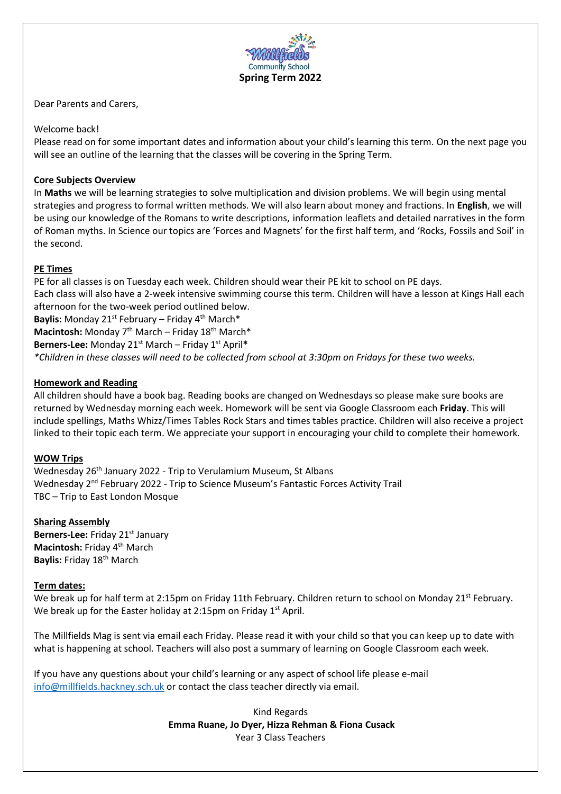

Dear Parents and Carers,

## Welcome back!

Please read on for some important dates and information about your child's learning this term. On the next page you will see an outline of the learning that the classes will be covering in the Spring Term.

# **Core Subjects Overview**

In **Maths** we will be learning strategies to solve multiplication and division problems. We will begin using mental strategies and progress to formal written methods. We will also learn about money and fractions. In **English**, we will be using our knowledge of the Romans to write descriptions, information leaflets and detailed narratives in the form of Roman myths. In Science our topics are 'Forces and Magnets' for the first half term, and 'Rocks, Fossils and Soil' in the second.

# **PE Times**

PE for all classes is on Tuesday each week. Children should wear their PE kit to school on PE days. Each class will also have a 2-week intensive swimming course this term. Children will have a lesson at Kings Hall each afternoon for the two-week period outlined below. Baylis: Monday 21<sup>st</sup> February – Friday 4<sup>th</sup> March\* Macintosh: Monday 7<sup>th</sup> March – Friday 18<sup>th</sup> March\* Berners-Lee: Monday 21<sup>st</sup> March - Friday 1<sup>st</sup> April\*

*\*Children in these classes will need to be collected from school at 3:30pm on Fridays for these two weeks.*

## **Homework and Reading**

All children should have a book bag. Reading books are changed on Wednesdays so please make sure books are returned by Wednesday morning each week. Homework will be sent via Google Classroom each **Friday**. This will include spellings, Maths Whizz/Times Tables Rock Stars and times tables practice. Children will also receive a project linked to their topic each term. We appreciate your support in encouraging your child to complete their homework.

# **WOW Trips**

Wednesday 26<sup>th</sup> January 2022 - Trip to Verulamium Museum, St Albans Wednesday 2nd February 2022 - Trip to Science Museum's Fantastic Forces Activity Trail TBC – Trip to East London Mosque

### **Sharing Assembly**

**Berners-Lee:** Friday 21<sup>st</sup> January **Macintosh:** Friday 4<sup>th</sup> March **Baylis:** Friday 18th March

### **Term dates:**

We break up for half term at 2:15pm on Friday 11th February. Children return to school on Monday 21st February. We break up for the Easter holiday at 2:15pm on Friday  $1<sup>st</sup>$  April.

The Millfields Mag is sent via email each Friday. Please read it with your child so that you can keep up to date with what is happening at school. Teachers will also post a summary of learning on Google Classroom each week.

If you have any questions about your child's learning or any aspect of school life please e-mail [info@millfields.hackney.sch.uk](mailto:info@millfields.hackney.sch.uk) or contact the class teacher directly via email.

> Kind Regards **Emma Ruane, Jo Dyer, Hizza Rehman & Fiona Cusack**  Year 3 Class Teachers